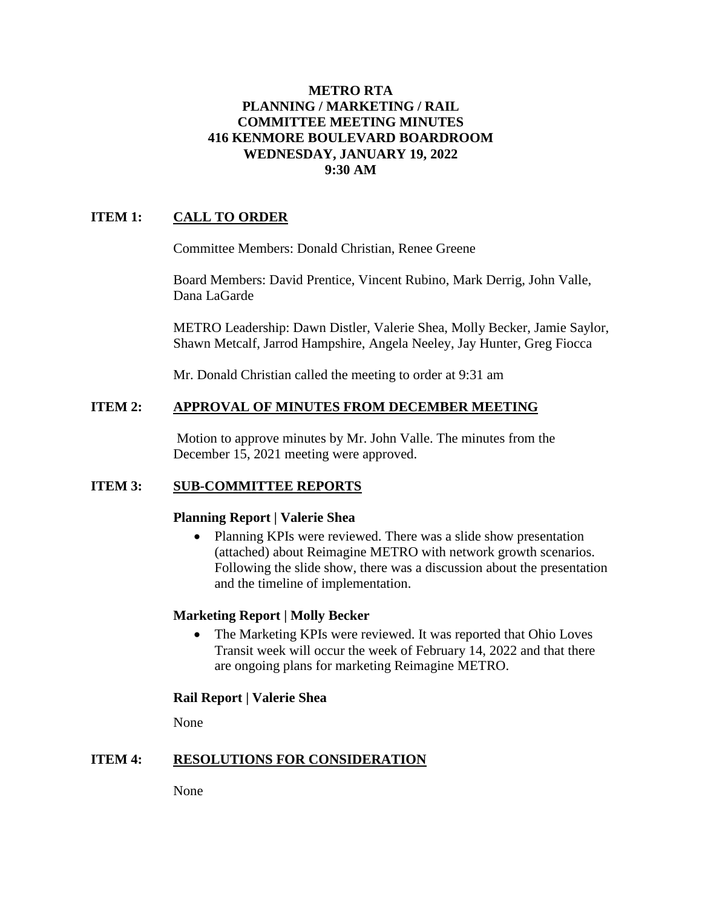### **METRO RTA PLANNING / MARKETING / RAIL COMMITTEE MEETING MINUTES 416 KENMORE BOULEVARD BOARDROOM WEDNESDAY, JANUARY 19, 2022 9:30 AM**

# **ITEM 1: CALL TO ORDER**

Committee Members: Donald Christian, Renee Greene

Board Members: David Prentice, Vincent Rubino, Mark Derrig, John Valle, Dana LaGarde

METRO Leadership: Dawn Distler, Valerie Shea, Molly Becker, Jamie Saylor, Shawn Metcalf, Jarrod Hampshire, Angela Neeley, Jay Hunter, Greg Fiocca

Mr. Donald Christian called the meeting to order at 9:31 am

#### **ITEM 2: APPROVAL OF MINUTES FROM DECEMBER MEETING**

Motion to approve minutes by Mr. John Valle. The minutes from the December 15, 2021 meeting were approved.

## **ITEM 3: SUB-COMMITTEE REPORTS**

#### **Planning Report | Valerie Shea**

• Planning KPIs were reviewed. There was a slide show presentation (attached) about Reimagine METRO with network growth scenarios. Following the slide show, there was a discussion about the presentation and the timeline of implementation.

#### **Marketing Report | Molly Becker**

• The Marketing KPIs were reviewed. It was reported that Ohio Loves Transit week will occur the week of February 14, 2022 and that there are ongoing plans for marketing Reimagine METRO.

#### **Rail Report | Valerie Shea**

None

## **ITEM 4: RESOLUTIONS FOR CONSIDERATION**

None